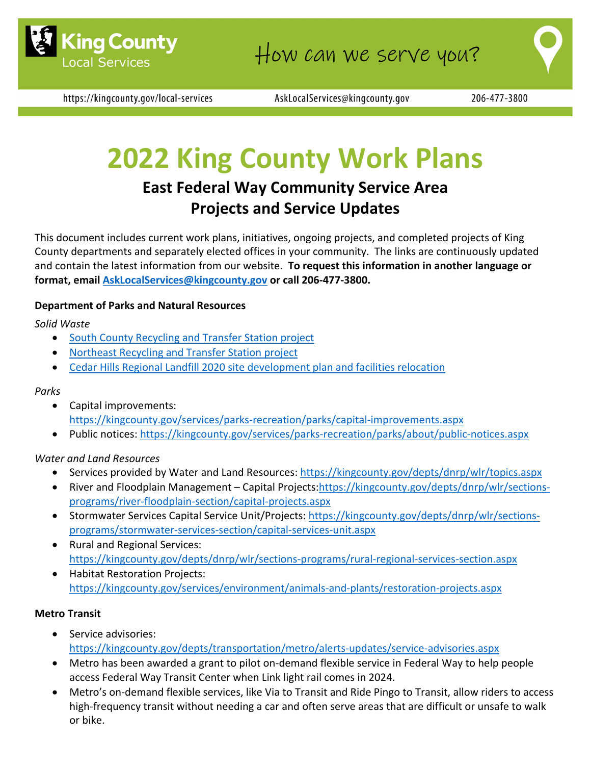

https://kingcounty.gov/local-services

AskLocalServices@kingcounty.gov

# **2022 King County Work Plans**

## **East Federal Way Community Service Area Projects and Service Updates**

This document includes current work plans, initiatives, ongoing projects, and completed projects of King County departments and separately elected offices in your community. The links are continuously updated and contain the latest information from our website. **To request this information in another language or format, email [AskLocalServices@kingcounty.gov](mailto:AskLocalServices@kingcounty.gov) or call 206-477-3800.**

#### **Department of Parks and Natural Resources**

*Solid Waste*

- [South County Recycling and](https://kingcounty.gov/depts/dnrp/solid-waste/facilities/south-county.aspx) Transfer Station project
- [Northeast Recycling and](https://kingcounty.gov/depts/dnrp/solid-waste/facilities/northeast.aspx) Transfer Station project
- [Cedar Hills Regional Landfill 2020 site development plan and facilities relocation](https://kingcounty.gov/depts/dnrp/solid-waste/facilities/landfills/cedar-hills-development.aspx)

#### *Parks*

- Capital improvements: <https://kingcounty.gov/services/parks-recreation/parks/capital-improvements.aspx>
- Public notices:<https://kingcounty.gov/services/parks-recreation/parks/about/public-notices.aspx>

#### *Water and Land Resources*

- Services provided by Water and Land Resources:<https://kingcounty.gov/depts/dnrp/wlr/topics.aspx>
- River and Floodplain Management Capital Projects[:https://kingcounty.gov/depts/dnrp/wlr/sections](https://kingcounty.gov/depts/dnrp/wlr/sections-programs/river-floodplain-section/capital-projects.aspx)[programs/river-floodplain-section/capital-projects.aspx](https://kingcounty.gov/depts/dnrp/wlr/sections-programs/river-floodplain-section/capital-projects.aspx)
- Stormwater Services Capital Service Unit/Projects: [https://kingcounty.gov/depts/dnrp/wlr/sections](https://kingcounty.gov/depts/dnrp/wlr/sections-programs/stormwater-services-section/capital-services-unit.aspx)[programs/stormwater-services-section/capital-services-unit.aspx](https://kingcounty.gov/depts/dnrp/wlr/sections-programs/stormwater-services-section/capital-services-unit.aspx)
- Rural and Regional Services: <https://kingcounty.gov/depts/dnrp/wlr/sections-programs/rural-regional-services-section.aspx>
- Habitat Restoration Projects: <https://kingcounty.gov/services/environment/animals-and-plants/restoration-projects.aspx>

#### **Metro Transit**

- Service advisories: <https://kingcounty.gov/depts/transportation/metro/alerts-updates/service-advisories.aspx>
- Metro has been awarded a grant to pilot on-demand flexible service in Federal Way to help people access Federal Way Transit Center when Link light rail comes in 2024.
- Metro's on-demand flexible services, like Via to Transit and Ride Pingo to Transit, allow riders to access high-frequency transit without needing a car and often serve areas that are difficult or unsafe to walk or bike.